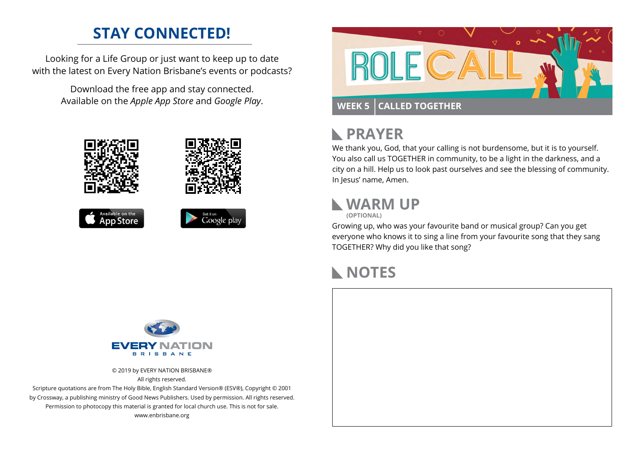### **STAY CONNECTED!**

Looking for a Life Group or just want to keep up to date with the latest on Every Nation Brisbane's events or podcasts?

> Download the free app and stay connected. Available on the *Apple App Store* and *Google Play*.





#### **PRAYER**  $\mathbb{R}$

We thank you, God, that your calling is not burdensome, but it is to yourself. You also call us TOGETHER in community, to be a light in the darkness, and a city on a hill. Help us to look past ourselves and see the blessing of community. In Jesus' name, Amen.

#### **WARM UP**



Growing up, who was your favourite band or musical group? Can you get everyone who knows it to sing a line from your favourite song that they sang TOGETHER? Why did you like that song?

## **NOTES**



© 2019 by EVERY NATION BRISBANE® All rights reserved.

Scripture quotations are from The Holy Bible, English Standard Version® (ESV®), Copyright © 2001 by Crossway, a publishing ministry of Good News Publishers. Used by permission. All rights reserved. Permission to photocopy this material is granted for local church use. This is not for sale. www.enbrisbane.org